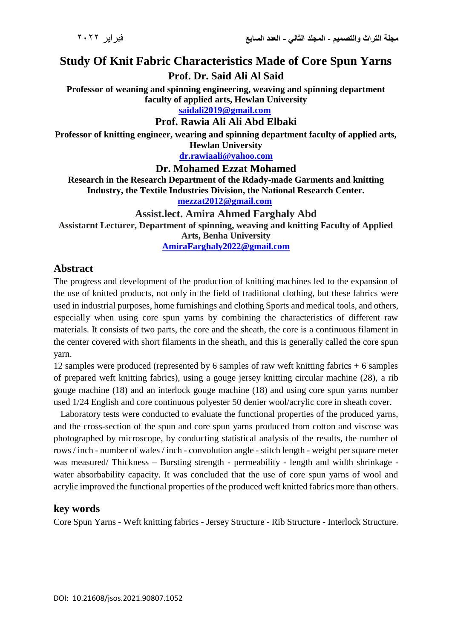# **Study Of Knit Fabric Characteristics Made of Core Spun Yarns**

**Prof. Dr. Said Ali Al Said**

**Professor of weaning and spinning engineering, weaving and spinning department faculty of applied arts, Hewlan University [saidali2019@gmail.com](mailto:saidali2019@gmail.com)**

#### **Prof. Rawia Ali Ali Abd Elbaki**

**Professor of knitting engineer, wearing and spinning department faculty of applied arts, Hewlan University**

**[dr.rawiaali@yahoo.com](mailto:dr.rawiaali@yahoo.com)**

**Dr. Mohamed Ezzat Mohamed**

**Research in the Research Department of the Rdady-made Garments and knitting Industry, the Textile Industries Division, the National Research Center. [mezzat2012@gmail.com](mailto:mezzat2012@gmail.com)**

#### **Assist.lect. Amira Ahmed Farghaly Abd**

**Assistarnt Lecturer, Department of spinning, weaving and knitting Faculty of Applied Arts, Benha University**

**[AmiraFarghaly2022@gmail.com](mailto:AmiraFarghaly2022@gmail.com)**

### **Abstract**

The progress and development of the production of knitting machines led to the expansion of the use of knitted products, not only in the field of traditional clothing, but these fabrics were used in industrial purposes, home furnishings and clothing Sports and medical tools, and others, especially when using core spun yarns by combining the characteristics of different raw materials. It consists of two parts, the core and the sheath, the core is a continuous filament in the center covered with short filaments in the sheath, and this is generally called the core spun yarn.

12 samples were produced (represented by 6 samples of raw weft knitting fabrics + 6 samples of prepared weft knitting fabrics), using a gouge jersey knitting circular machine (28), a rib gouge machine (18) and an interlock gouge machine (18) and using core spun yarns number used 1/24 English and core continuous polyester 50 denier wool/acrylic core in sheath cover.

 Laboratory tests were conducted to evaluate the functional properties of the produced yarns, and the cross-section of the spun and core spun yarns produced from cotton and viscose was photographed by microscope, by conducting statistical analysis of the results, the number of rows / inch - number of wales / inch - convolution angle - stitch length - weight per square meter was measured/ Thickness – Bursting strength - permeability - length and width shrinkage water absorbability capacity. It was concluded that the use of core spun yarns of wool and acrylic improved the functional properties of the produced weft knitted fabrics more than others.

#### **key words**

Core Spun Yarns - Weft knitting fabrics - Jersey Structure - Rib Structure - Interlock Structure.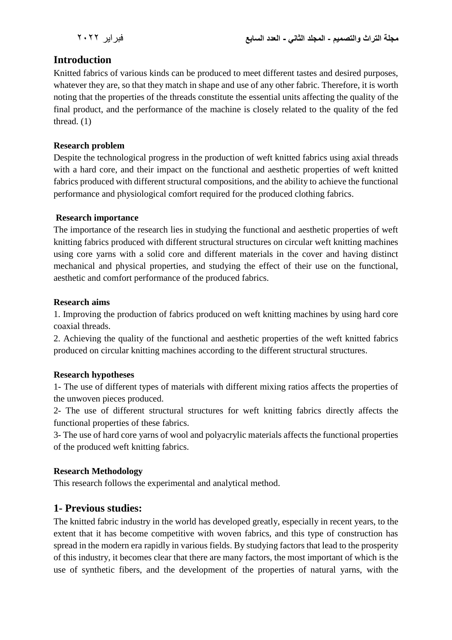# **Introduction**

Knitted fabrics of various kinds can be produced to meet different tastes and desired purposes, whatever they are, so that they match in shape and use of any other fabric. Therefore, it is worth noting that the properties of the threads constitute the essential units affecting the quality of the final product, and the performance of the machine is closely related to the quality of the fed thread. (1)

#### **Research problem**

Despite the technological progress in the production of weft knitted fabrics using axial threads with a hard core, and their impact on the functional and aesthetic properties of weft knitted fabrics produced with different structural compositions, and the ability to achieve the functional performance and physiological comfort required for the produced clothing fabrics.

#### **Research importance**

The importance of the research lies in studying the functional and aesthetic properties of weft knitting fabrics produced with different structural structures on circular weft knitting machines using core yarns with a solid core and different materials in the cover and having distinct mechanical and physical properties, and studying the effect of their use on the functional, aesthetic and comfort performance of the produced fabrics.

#### **Research aims**

1. Improving the production of fabrics produced on weft knitting machines by using hard core coaxial threads.

2. Achieving the quality of the functional and aesthetic properties of the weft knitted fabrics produced on circular knitting machines according to the different structural structures.

#### **Research hypotheses**

1- The use of different types of materials with different mixing ratios affects the properties of the unwoven pieces produced.

2- The use of different structural structures for weft knitting fabrics directly affects the functional properties of these fabrics.

3- The use of hard core yarns of wool and polyacrylic materials affects the functional properties of the produced weft knitting fabrics.

#### **Research Methodology**

This research follows the experimental and analytical method.

# **1- Previous studies:**

The knitted fabric industry in the world has developed greatly, especially in recent years, to the extent that it has become competitive with woven fabrics, and this type of construction has spread in the modern era rapidly in various fields. By studying factors that lead to the prosperity of this industry, it becomes clear that there are many factors, the most important of which is the use of synthetic fibers, and the development of the properties of natural yarns, with the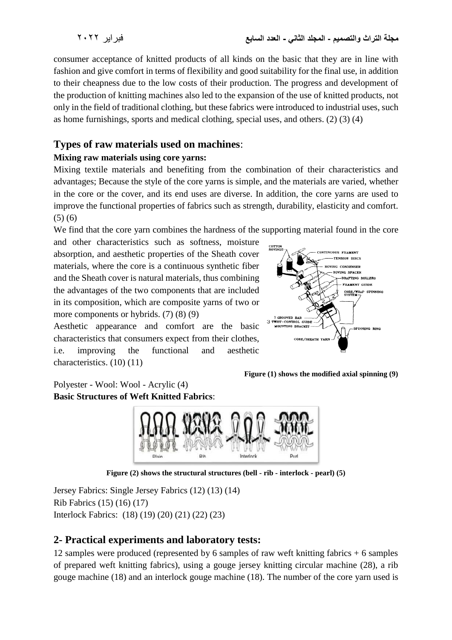consumer acceptance of knitted products of all kinds on the basic that they are in line with fashion and give comfort in terms of flexibility and good suitability for the final use, in addition to their cheapness due to the low costs of their production. The progress and development of the production of knitting machines also led to the expansion of the use of knitted products, not only in the field of traditional clothing, but these fabrics were introduced to industrial uses, such as home furnishings, sports and medical clothing, special uses, and others. (2) (3) (4)

# **Types of raw materials used on machines**:

### **Mixing raw materials using core yarns:**

Mixing textile materials and benefiting from the combination of their characteristics and advantages; Because the style of the core yarns is simple, and the materials are varied, whether in the core or the cover, and its end uses are diverse. In addition, the core yarns are used to improve the functional properties of fabrics such as strength, durability, elasticity and comfort. (5) (6)

We find that the core yarn combines the hardness of the supporting material found in the core

and other characteristics such as softness, moisture absorption, and aesthetic properties of the Sheath cover materials, where the core is a continuous synthetic fiber and the Sheath cover is natural materials, thus combining the advantages of the two components that are included in its composition, which are composite yarns of two or more components or hybrids. (7) (8) (9)

Aesthetic appearance and comfort are the basic characteristics that consumers expect from their clothes, i.e. improving the functional and aesthetic characteristics. (10) (11)



**Figure (1) shows the modified axial spinning (9)**

Polyester - Wool: Wool - Acrylic (4) **Basic Structures of Weft Knitted Fabrics**:



**Figure (2) shows the structural structures (bell - rib - interlock - pearl) (5)**

Jersey Fabrics: Single Jersey Fabrics (12) (13) (14) Rib Fabrics (15) (16) (17) Interlock Fabrics: (18) (19) (20) (21) (22) (23)

# **2- Practical experiments and laboratory tests:**

12 samples were produced (represented by 6 samples of raw weft knitting fabrics + 6 samples of prepared weft knitting fabrics), using a gouge jersey knitting circular machine (28), a rib gouge machine (18) and an interlock gouge machine (18). The number of the core yarn used is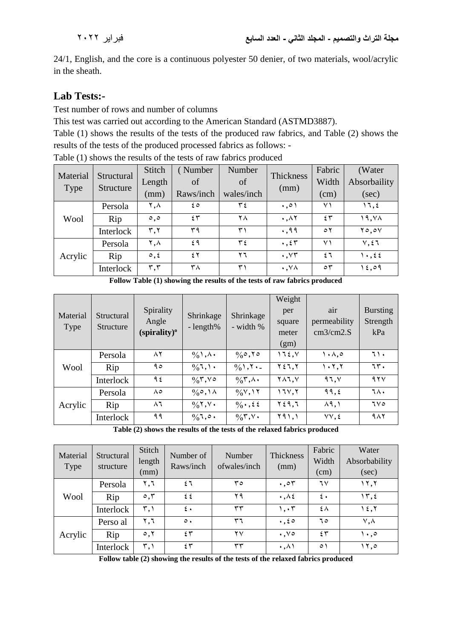24/1, English, and the core is a continuous polyester 50 denier, of two materials, wool/acrylic in the sheath.

# **Lab Tests:-**

Test number of rows and number of columns

This test was carried out according to the American Standard (ASTMD3887).

Table (1) shows the results of the tests of the produced raw fabrics, and Table (2) shows the results of the tests of the produced processed fabrics as follows: -

| Material    | Structural | Stitch                  | (Number   | Number             | Thickness                   | Fabric               | (Water              |
|-------------|------------|-------------------------|-----------|--------------------|-----------------------------|----------------------|---------------------|
| <b>Type</b> | Structure  | Length                  | of        | of                 |                             | Width                | Absorbaility        |
|             |            | (mm)                    | Raws/inch | wales/inch         | (mm)                        | (cm)                 | (sec)               |
| Wool        | Persola    | ۲,۸                     | ه ٤       | $\mathbf{y}^{\mu}$ | $\cdot \cdot$               | ۷١                   | ۱٦,٤                |
|             | Rip        | $\circ$ , $\circ$       | ٤٣        | ۲۸                 | $\cdot$ , $\wedge$ $\wedge$ | 25                   | 19, Y <sub>A</sub>  |
|             | Interlock  | ٣,٢                     | ۳۹        | ۳١                 | .99                         | $\circ$ $\mathsf{r}$ | $Y \circ . \circ V$ |
| Acrylic     | Persola    | ۲,۸                     | ٤٩        | ع ۳                | $\cdot$ , $\zeta \tau$      | ۷١                   | $V, \xi$            |
|             | Rip        | $\circ$ , $\epsilon$    | ٤٢        | ۲٦                 | $\cdot$ , $\vee\tau$        | ٤٦                   | $\ldots$            |
|             | Interlock  | $\mathbf{r},\mathbf{r}$ | ۳۸        | ۳۱                 | $\cdot$ , $\vee \wedge$     | $\circ$              | ۱٤,٥٩               |

Table (1) shows the results of the tests of raw fabrics produced

**Follow Table (1) showing the results of the tests of raw fabrics produced**

| Material<br>Type | Structural<br>Structure | Spirality<br>Angle<br>(spirality) <sup>o</sup> | Shrinkage<br>$-l$ ength%                     | Shrinkage<br>- width %                  | Weight<br>per<br>square<br>meter<br>(gm) | air<br>permeability<br>cm3/cm2.S | <b>Bursting</b><br>Strength<br>kPa |
|------------------|-------------------------|------------------------------------------------|----------------------------------------------|-----------------------------------------|------------------------------------------|----------------------------------|------------------------------------|
|                  | Persola                 | ۸۲                                             | $\frac{0}{0}$ , $\lambda$ .                  | $\%$ °, $\%$                            | 172.5                                    | ۰۸.۰                             | ٦١٠                                |
| Wool             | Rip                     | ۹٥                                             | $\frac{0}{0}$ 1, 1.                          | $\frac{0}{0}$ , $\sqrt{1}$ .            | ۲٤٦,۲                                    | ۰۲.۲۱                            | ٦٣.                                |
|                  | Interlock               | ۹٤                                             | $\frac{1}{2}$ $\sqrt{7}$ , $\sqrt{9}$        | $\frac{1}{2}$ $\uparrow$ , $\uparrow$ . | $Y\wedge Y, V$                           | 97.1                             | 95 <sup>0</sup>                    |
| Acrylic          | Persola                 | ۸٥                                             | $\frac{0}{0}$ , $\wedge$                     | $\frac{1}{2}$ $\sqrt{1}$                | 171,7                                    | 99, 6                            | ٦٨.                                |
|                  | Rip                     | $\wedge$ ٦                                     | $\frac{0}{0}$ $\uparrow$ , $\vee$ $\uparrow$ | $\frac{0}{0}$ , $\frac{2}{5}$           | ۲٤٩,٦                                    | $\lambda$ 9, 1                   | 7V <sub>o</sub>                    |
|                  | Interlock               | ۹۹                                             | $\%$ ,0.                                     | $\frac{1}{2}$ $\sqrt{7}$ , $\sqrt{1}$   | Y91,1                                    | $VV, \xi$                        | 9AY                                |

**Table (2) shows the results of the tests of the relaxed fabrics produced**

| Material<br>Type | Structural<br>structure | Stitch<br>length<br>(mm) | Number of<br>Raws/inch | Number<br>ofwales/inch | Thickness<br>(mm)             | Fabric<br>Width<br>(cm) | Water<br>Absorbability<br>(sec) |
|------------------|-------------------------|--------------------------|------------------------|------------------------|-------------------------------|-------------------------|---------------------------------|
| Wool             | Persola                 | ۲,٦                      | ٤٦                     | ە ۳                    | $\cdot$ ,05                   | ٦٧                      | ۱۲,۲                            |
|                  | Rip                     | $\circ$ , $\mathsf{r}$   | ٤٤                     | ۲۹                     | $\cdot$ , $\wedge$ $\epsilon$ | $\mathfrak{t}$ .        | $\Upsilon$ , {                  |
|                  | Interlock               | ٣,١                      | $\mathfrak{c}$ .       | ٣٣                     | ۱,۰۳                          | ٤٨                      | 15,7                            |
| Acrylic          | Perso al                | ۲,٦                      | $\circ$ .              | ٣٦                     | $\cdot$ , $\epsilon$ 0        | ٦٥                      | $\vee, \wedge$                  |
|                  | Rip                     | $\circ, \circ$           | 25                     | ۲۷                     | $\cdot$ , $\vee$ $\circ$      | 25                      | ۰.۰۱                            |
|                  | Interlock               | ٣,١                      | 55                     | ٣٣                     | $\cdot$ , $\wedge$ )          | ٥١                      | ۰۲٫۰                            |

**Follow table (2) showing the results of the tests of the relaxed fabrics produced**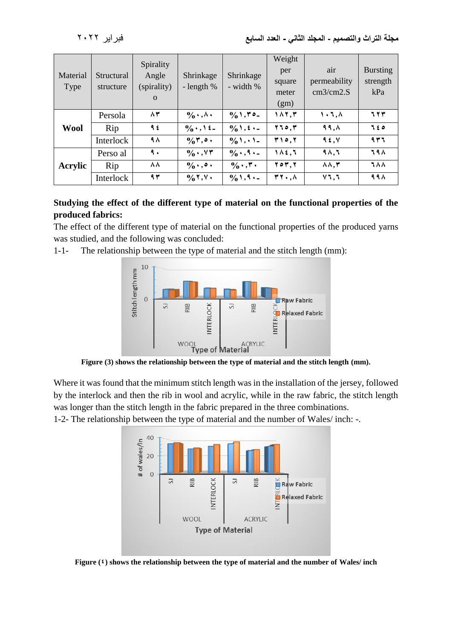| Material<br>Type | Structural<br>structure | Spirality<br>Angle<br>(spirality)<br>$\Omega$ | Shrinkage<br>- length $%$           | Shrinkage<br>- width %           | Weight<br>per<br>square<br>meter<br>(gm) | air<br>permeability<br>cm3/cm2.S | <b>Bursting</b><br>strength<br>kPa |
|------------------|-------------------------|-----------------------------------------------|-------------------------------------|----------------------------------|------------------------------------------|----------------------------------|------------------------------------|
|                  | Persola                 | ۸۳                                            | $\frac{1}{2}$                       | $\frac{0}{0}$ 1, $\frac{0}{0}$ - | 187,٣                                    | $\lambda$ , $\lambda$            | 77T                                |
| <b>Wool</b>      | Rip                     | ۹٤                                            | $\frac{0}{0}$ . $\frac{1}{2}$ .     | $\frac{0}{0}$ 1, $\frac{1}{2}$ . | 510,7                                    | $99, \Lambda$                    | 720                                |
|                  | Interlock               | ۹۸                                            | $\frac{0}{0}$ , $\bullet$ .         | $\frac{1}{2}$ \, \, \, \,        | <b>٣١٥,٢</b>                             | 9.5, V                           | 937                                |
| Acrylic          | Perso al                | ٩.                                            | $\%$ $V\mathsf{Y}$                  | $\frac{0}{0}$ . , q . _          | $1$ $\Lambda$ $\xi$ , $\Lambda$          | $9\Lambda,5$                     | <b>798</b>                         |
|                  | Rip                     | ۸۸                                            | $\frac{0}{0}$ , , o,                | $\frac{0}{0}$ ., ۳.              | <b>207.7</b>                             | $\Lambda \Lambda, \Upsilon$      | <b>788</b>                         |
|                  | Interlock               | 94                                            | $\frac{0}{0}$ $\uparrow$ , $\vee$ . | $\frac{0}{0}$ 1, 9 · -           | $\mathbf{r}$ , $\wedge$                  | $Y$ ٦,٦                          | 99 A                               |

## **Studying the effect of the different type of material on the functional properties of the produced fabrics:**

The effect of the different type of material on the functional properties of the produced yarns was studied, and the following was concluded:

1-1- The relationship between the type of material and the stitch length (mm):



**Figure (3) shows the relationship between the type of material and the stitch length (mm).**

Where it was found that the minimum stitch length was in the installation of the jersey, followed by the interlock and then the rib in wool and acrylic, while in the raw fabric, the stitch length was longer than the stitch length in the fabric prepared in the three combinations.

1-2- The relationship between the type of material and the number of Wales/ inch: -.



**Figure (4) shows the relationship between the type of material and the number of Wales/ inch**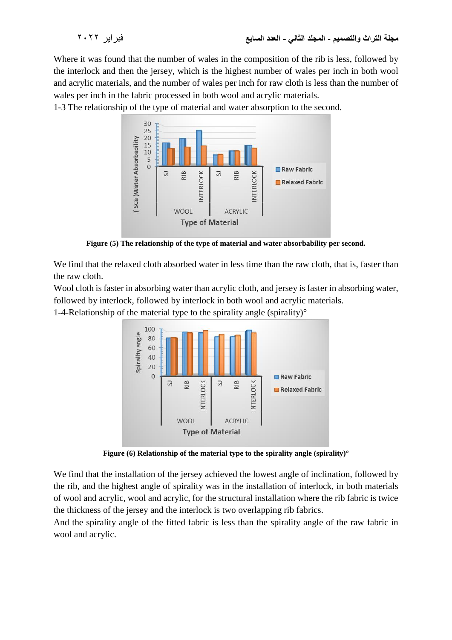Where it was found that the number of wales in the composition of the rib is less, followed by the interlock and then the jersey, which is the highest number of wales per inch in both wool and acrylic materials, and the number of wales per inch for raw cloth is less than the number of wales per inch in the fabric processed in both wool and acrylic materials.

1-3 The relationship of the type of material and water absorption to the second.



**Figure (5) The relationship of the type of material and water absorbability per second.**

We find that the relaxed cloth absorbed water in less time than the raw cloth, that is, faster than the raw cloth.

Wool cloth is faster in absorbing water than acrylic cloth, and jersey is faster in absorbing water, followed by interlock, followed by interlock in both wool and acrylic materials.

1-4-Relationship of the material type to the spirality angle (spirality) $\degree$ 



**Figure (6) Relationship of the material type to the spirality angle (spirality)°**

We find that the installation of the jersey achieved the lowest angle of inclination, followed by the rib, and the highest angle of spirality was in the installation of interlock, in both materials of wool and acrylic, wool and acrylic, for the structural installation where the rib fabric is twice the thickness of the jersey and the interlock is two overlapping rib fabrics.

And the spirality angle of the fitted fabric is less than the spirality angle of the raw fabric in wool and acrylic.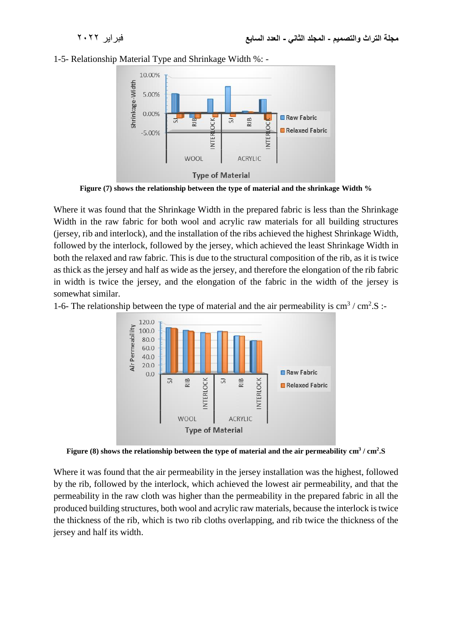



**Figure (7) shows the relationship between the type of material and the shrinkage Width %**

Where it was found that the Shrinkage Width in the prepared fabric is less than the Shrinkage Width in the raw fabric for both wool and acrylic raw materials for all building structures (jersey, rib and interlock), and the installation of the ribs achieved the highest Shrinkage Width, followed by the interlock, followed by the jersey, which achieved the least Shrinkage Width in both the relaxed and raw fabric. This is due to the structural composition of the rib, as it is twice as thick as the jersey and half as wide as the jersey, and therefore the elongation of the rib fabric in width is twice the jersey, and the elongation of the fabric in the width of the jersey is somewhat similar.

1-6- The relationship between the type of material and the air permeability is  $\text{cm}^3/\text{cm}^2$ .S:



**Figure (8) shows the relationship between the type of material and the air permeability cm<sup>3</sup> / cm<sup>2</sup> .S**

Where it was found that the air permeability in the jersey installation was the highest, followed by the rib, followed by the interlock, which achieved the lowest air permeability, and that the permeability in the raw cloth was higher than the permeability in the prepared fabric in all the produced building structures, both wool and acrylic raw materials, because the interlock is twice the thickness of the rib, which is two rib cloths overlapping, and rib twice the thickness of the jersey and half its width.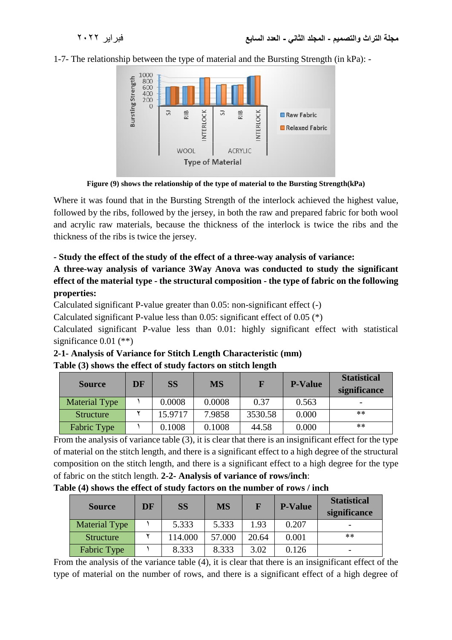1-7- The relationship between the type of material and the Bursting Strength (in kPa): -



**Figure (9) shows the relationship of the type of material to the Bursting Strength(kPa)**

Where it was found that in the Bursting Strength of the interlock achieved the highest value, followed by the ribs, followed by the jersey, in both the raw and prepared fabric for both wool and acrylic raw materials, because the thickness of the interlock is twice the ribs and the thickness of the ribs is twice the jersey.

#### **- Study the effect of the study of the effect of a three-way analysis of variance:**

**A three-way analysis of variance 3Way Anova was conducted to study the significant effect of the material type - the structural composition - the type of fabric on the following properties:**

Calculated significant P-value greater than 0.05: non-significant effect (-)

Calculated significant P-value less than 0.05: significant effect of 0.05 (\*)

Calculated significant P-value less than 0.01: highly significant effect with statistical significance 0.01 (\*\*)

| 2-1- Analysis of Variance for Stitch Length Characteristic (mm) |  |
|-----------------------------------------------------------------|--|
| Table (3) shows the effect of study factors on stitch length    |  |

| DF<br><b>Source</b>  |  | <b>SS</b> | <b>MS</b> |         | <b>P-Value</b> | <b>Statistical</b><br>significance |  |
|----------------------|--|-----------|-----------|---------|----------------|------------------------------------|--|
| <b>Material Type</b> |  | 0.0008    | 0.0008    | 0.37    | 0.563          |                                    |  |
| <b>Structure</b>     |  | 15.9717   | 7.9858    | 3530.58 | 0.000          | $***$                              |  |
| Fabric Type          |  | 0.1008    | 0.1008    | 44.58   | 0.000          | **                                 |  |

From the analysis of variance table (3), it is clear that there is an insignificant effect for the type of material on the stitch length, and there is a significant effect to a high degree of the structural composition on the stitch length, and there is a significant effect to a high degree for the type of fabric on the stitch length. **2-2- Analysis of variance of rows/inch**:

**Table (4) shows the effect of study factors on the number of rows / inch**

| <b>Source</b>        | DF | <b>SS</b> | <b>MS</b> |       | <b>P-Value</b> | <b>Statistical</b><br>significance |
|----------------------|----|-----------|-----------|-------|----------------|------------------------------------|
| <b>Material Type</b> |    | 5.333     | 5.333     | 1.93  | 0.207          |                                    |
| <b>Structure</b>     |    | 114.000   | 57.000    | 20.64 | 0.001          | $***$                              |
| Fabric Type          |    | 8.333     | 8.333     | 3.02  | 0.126          |                                    |

From the analysis of the variance table (4), it is clear that there is an insignificant effect of the type of material on the number of rows, and there is a significant effect of a high degree of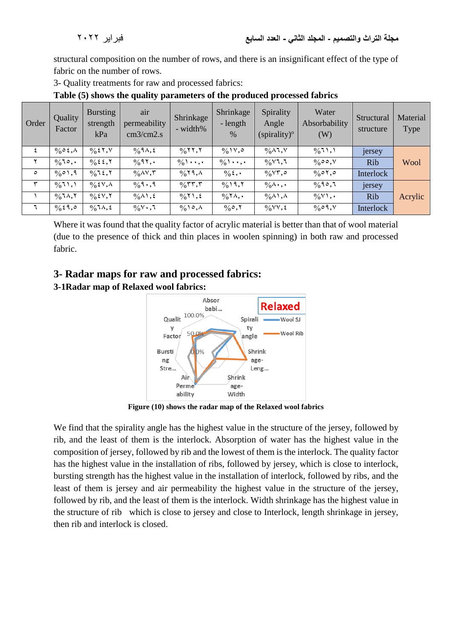structural composition on the number of rows, and there is an insignificant effect of the type of fabric on the number of rows.

3- Quality treatments for raw and processed fabrics:

| Order   | Quality<br>Factor                        | <b>Bursting</b><br>strength<br>kPa    | air<br>permeability<br>cm3/cm2.s  | Shrinkage<br>- width%                         | Shrinkage<br>- length<br>$\%$  | Spirality<br>Angle<br>(spirality) <sup>o</sup> | Water<br>Absorbability<br>(W)         | Structural<br>structure | Material<br><b>Type</b> |
|---------|------------------------------------------|---------------------------------------|-----------------------------------|-----------------------------------------------|--------------------------------|------------------------------------------------|---------------------------------------|-------------------------|-------------------------|
|         | $\frac{0}{0}$ $\circ$ $\zeta$ , $\wedge$ | $\%$ { $\Upsilon$ , $\Upsilon$        | $\frac{0}{0}$ 9 $\Lambda$ , 2     | $\frac{0}{0}$ ( $\frac{0}{1}$ , $\frac{0}{1}$ | $\frac{0}{0}$ \v, $\circ$      | $\%$ $\wedge$ $\qquad, \vee$                   | $\frac{1}{2}$ (1,1)                   | jersey                  |                         |
|         | $\frac{0}{0}$ 10,.                       |                                       | $\frac{0}{0}$ 97,.                | $\frac{0}{0}$ \ , .                           | $\frac{0}{0}$                  | $\frac{0}{0}$ $\sqrt{1, 1}$                    | $\%$ 00, $\%$                         | <b>Rib</b>              | Wool                    |
| $\circ$ | $\frac{0}{0}$ 0), 9                      | $\frac{0}{0}$ 1 {, Y                  | $\%$ $\wedge$ $\vee$ , $\uparrow$ | $\%$ ۲۹,۸                                     | $\%$ {, $\cdot$                | $\frac{0}{0}$ $\forall$ $\uparrow$ , $\circ$   | $\frac{0}{0}$ 07,0                    | Interlock               |                         |
| سپ      | $\frac{0}{0}$ (1, 1                      | $\%$ { $\vee$ , $\wedge$              | $\frac{0}{0}$ 9.,9                | $\frac{1}{2}$                                 | $\frac{9}{0}$ 19,7             | $\%$ $\wedge$ $\cdot$ , $\cdot$                | $\frac{0}{0}$ 90,7                    | jersey                  |                         |
|         | $\%$ ٦٨,٢                                | $\frac{0}{0}$ { $\sqrt{0}$ $\sqrt{0}$ | $\frac{0}{0}$ A \, {              | $\frac{0}{0}$ 1, 2                            | $\frac{0}{0} \times \lambda$ , | $\%$ A \, $\wedge$                             | $\frac{0}{0}$ $\vee$ $\wedge$ $\cdot$ | <b>Rib</b>              | Acrylic                 |
|         | $\frac{0}{6}$ { 9, 0                     | $\frac{0}{0}$ 1 $\Lambda$ , 2         | $\frac{1}{2}$ $\sqrt{2}$          | $\%$ \ $\circ$ , $\wedge$                     | $\%$ °, Y                      | $\frac{1}{2}$ $\sqrt{V}$ , $\frac{1}{2}$       | $\frac{0}{0}$ $\circ$ 9, $\vee$       | Interlock               |                         |

**Table (5) shows the quality parameters of the produced processed fabrics**

Where it was found that the quality factor of acrylic material is better than that of wool material (due to the presence of thick and thin places in woolen spinning) in both raw and processed fabric.

# **3- Radar maps for raw and processed fabrics:**

# **3-1Radar map of Relaxed wool fabrics:**



**Figure (10) shows the radar map of the Relaxed wool fabrics**

We find that the spirality angle has the highest value in the structure of the jersey, followed by rib, and the least of them is the interlock. Absorption of water has the highest value in the composition of jersey, followed by rib and the lowest of them is the interlock. The quality factor has the highest value in the installation of ribs, followed by jersey, which is close to interlock, bursting strength has the highest value in the installation of interlock, followed by ribs, and the least of them is jersey and air permeability the highest value in the structure of the jersey, followed by rib, and the least of them is the interlock. Width shrinkage has the highest value in the structure of rib which is close to jersey and close to Interlock, length shrinkage in jersey, then rib and interlock is closed.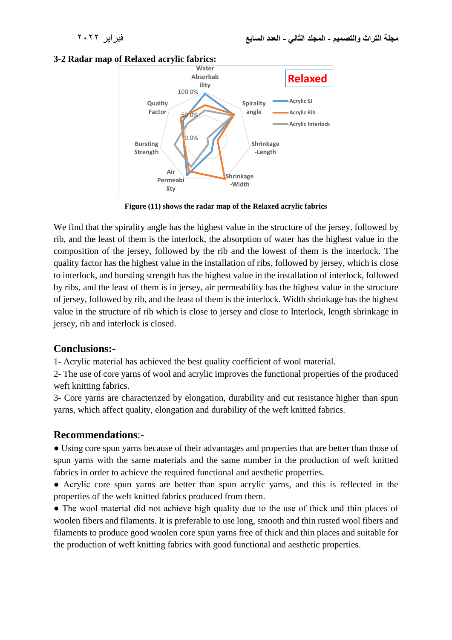#### **3-2 Radar map of Relaxed acrylic fabrics:**



**Figure (11) shows the radar map of the Relaxed acrylic fabrics**

We find that the spirality angle has the highest value in the structure of the jersey, followed by rib, and the least of them is the interlock, the absorption of water has the highest value in the composition of the jersey, followed by the rib and the lowest of them is the interlock. The quality factor has the highest value in the installation of ribs, followed by jersey, which is close to interlock, and bursting strength has the highest value in the installation of interlock, followed by ribs, and the least of them is in jersey, air permeability has the highest value in the structure of jersey, followed by rib, and the least of them is the interlock. Width shrinkage has the highest value in the structure of rib which is close to jersey and close to Interlock, length shrinkage in jersey, rib and interlock is closed.

#### **Conclusions:-**

1- Acrylic material has achieved the best quality coefficient of wool material.

2- The use of core yarns of wool and acrylic improves the functional properties of the produced weft knitting fabrics.

3- Core yarns are characterized by elongation, durability and cut resistance higher than spun yarns, which affect quality, elongation and durability of the weft knitted fabrics.

# **Recommendations**:-

● Using core spun yarns because of their advantages and properties that are better than those of spun yarns with the same materials and the same number in the production of weft knitted fabrics in order to achieve the required functional and aesthetic properties.

● Acrylic core spun yarns are better than spun acrylic yarns, and this is reflected in the properties of the weft knitted fabrics produced from them.

• The wool material did not achieve high quality due to the use of thick and thin places of woolen fibers and filaments. It is preferable to use long, smooth and thin rusted wool fibers and filaments to produce good woolen core spun yarns free of thick and thin places and suitable for the production of weft knitting fabrics with good functional and aesthetic properties.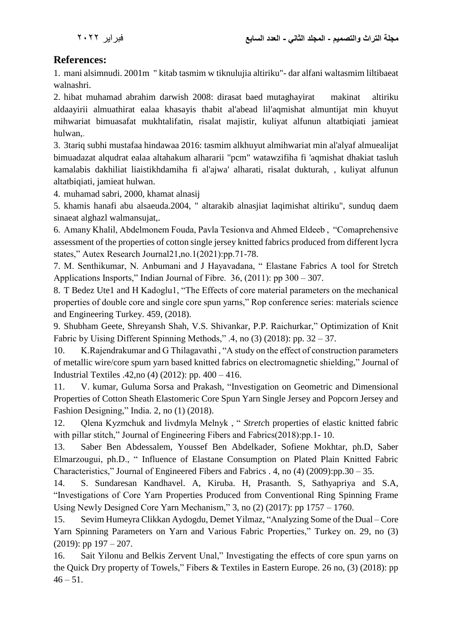# **References:**

1. mani alsimnudi. 2001m " kitab tasmim w tiknulujia altiriku"- dar alfani waltasmim liltibaeat walnashri.

2. hibat muhamad abrahim darwish 2008: dirasat baed mutaghayirat makinat altiriku aldaayirii almuathirat ealaa khasayis thabit al'abead lil'aqmishat almuntijat min khuyut mihwariat bimuasafat mukhtalifatin, risalat majistir, kuliyat alfunun altatbiqiati jamieat hulwan,.

3. 3tariq subhi mustafaa hindawaa 2016: tasmim alkhuyut almihwariat min al'alyaf almuealijat bimuadazat alqudrat ealaa altahakum alhararii "pcm" watawzifiha fi 'aqmishat dhakiat tasluh kamalabis dakhiliat liaistikhdamiha fi al'ajwa' alharati, risalat dukturah, , kuliyat alfunun altatbiqiati, jamieat hulwan.

4. muhamad sabri, 2000, khamat alnasij

5. khamis hanafi abu alsaeuda.2004, " altarakib alnasjiat laqimishat altiriku", sunduq daem sinaeat alghazl walmansujat,.

6. Amany Khalil, Abdelmonem Fouda, Pavla Tesionva and Ahmed Eldeeb , "Comaprehensive assessment of the properties of cotton single jersey knitted fabrics produced from different lycra states," Autex Research Journal21,no.1(2021):pp.71-78.

7. M. Senthikumar, N. Anbumani and J Hayavadana, " Elastane Fabrics A tool for Stretch Applications Insports," Indian Journal of Fibre. 36, (2011): pp 300 – 307.

8. T Bedez Ute1 and H Kadoglu1, "The Effects of core material parameters on the mechanical properties of double core and single core spun yarns," Rop conference series: materials science and Engineering Turkey. 459, (2018).

9. Shubham Geete, Shreyansh Shah, V.S. Shivankar, P.P. Raichurkar," Optimization of Knit Fabric by Uising Different Spinning Methods," .4, no (3) (2018): pp. 32 – 37.

10. K.Rajendrakumar and G Thilagavathi , "A study on the effect of construction parameters of metallic wire/core spum yarn based knitted fabrics on electromagnetic shielding," Journal of Industrial Textiles .42,no (4) (2012): pp. 400 – 416.

11. V. kumar, Guluma Sorsa and Prakash, "Investigation on Geometric and Dimensional Properties of Cotton Sheath Elastomeric Core Spun Yarn Single Jersey and Popcorn Jersey and Fashion Designing," India. 2, no (1) (2018).

12. Qlena Kyzmchuk and livdmyla Melnyk , " *Stretc*h properties of elastic knitted fabric with pillar stitch," Journal of Engineering Fibers and Fabrics(2018):pp.1-10.

13. Saber Ben Abdessalem, Youssef Ben Abdelkader, Sofiene Mokhtar, ph.D, Saber Elmarzougui, ph.D., " Influence of Elastane Consumption on Plated Plain Knitted Fabric Characteristics," Journal of Engineered Fibers and Fabrics . 4, no (4) (2009):pp.30 – 35.

14. S. Sundaresan Kandhavel. A, Kiruba. H, Prasanth. S, Sathyapriya and S.A, "Investigations of Core Yarn Properties Produced from Conventional Ring Spinning Frame Using Newly Designed Core Yarn Mechanism," 3, no (2) (2017): pp 1757 – 1760.

15. Sevim Humeyra Clikkan Aydogdu, Demet Yilmaz, "Analyzing Some of the Dual – Core Yarn Spinning Parameters on Yarn and Various Fabric Properties," Turkey on. 29, no (3)  $(2019)$ : pp  $197 - 207$ .

16. Sait Yilonu and Belkis Zervent Unal," Investigating the effects of core spun yarns on the Quick Dry property of Towels," Fibers & Textiles in Eastern Europe. 26 no, (3) (2018): pp  $46 - 51$ .